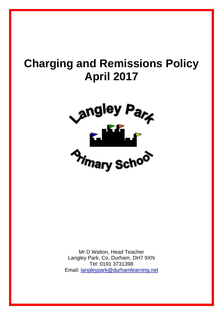# **Charging and Remissions Policy April 2017**



Mr D Walton, Head Teacher Langley Park, Co. Durham, DH7 9XN Tel: 0191 3731398 Email: langleypark@durhamlearning.net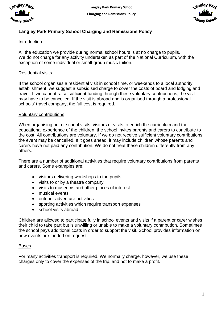



# **Langley Park Primary School Charging and Remissions Policy**

# Introduction

All the education we provide during normal school hours is at no charge to pupils. We do not charge for any activity undertaken as part of the National Curriculum, with the exception of some individual or small-group music tuition.

#### Residential visits

If the school organises a residential visit in school time, or weekends to a local authority establishment, we suggest a subsidised charge to cover the costs of board and lodging and travel. If we cannot raise sufficient funding through these voluntary contributions, the visit may have to be cancelled. If the visit is abroad and is organised through a professional schools' travel company, the full cost is required.

#### Voluntary contributions

When organising out of school visits, visitors or visits to enrich the curriculum and the educational experience of the children, the school invites parents and carers to contribute to the cost. All contributions are voluntary. If we do not receive sufficient voluntary contributions, the event may be cancelled. If it goes ahead, it may include children whose parents and carers have not paid any contribution. We do not treat these children differently from any others.

There are a number of additional activities that require voluntary contributions from parents and carers. Some examples are:

- visitors delivering workshops to the pupils
- visits to or by a theatre company
- visits to museums and other places of interest
- musical events
- outdoor adventure activities
- sporting activities which require transport expenses
- school visits abroad

Children are allowed to participate fully in school events and visits if a parent or carer wishes their child to take part but is unwilling or unable to make a voluntary contribution. Sometimes the school pays additional costs in order to support the visit. School provides information on how events are funded on request.

# Buses

For many activities transport is required. We normally charge, however, we use these charges only to cover the expenses of the trip, and not to make a profit.